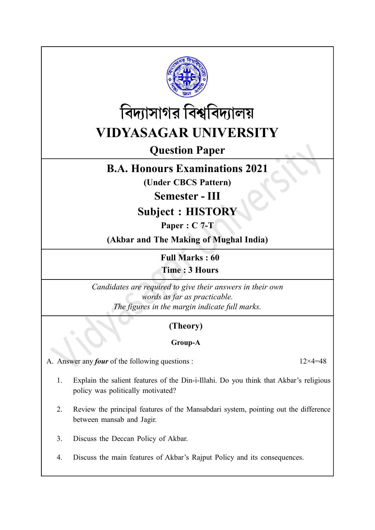



# Question Paper

## B.A. Honours Examinations 2021

(Under CBCS Pattern)

Semester - III

Subject : HISTORY

Paper : C 7-T

(Akbar and The Making of Mughal India)

Full Marks : 60 Time : 3 Hours

Candidates are required to give their answers in their own words as far as practicable. The figures in the margin indicate full marks.

## (Theory)

### Group-A

A. Answer any *four* of the following questions :  $12 \times 4 = 48$ 

- 1. Explain the salient features of the Din-i-Illahi. Do you think that Akbar's religious policy was politically motivated?
- 2. Review the principal features of the Mansabdari system, pointing out the difference between mansab and Jagir.
- 3. Discuss the Deccan Policy of Akbar.
- 4. Discuss the main features of Akbar's Rajput Policy and its consequences.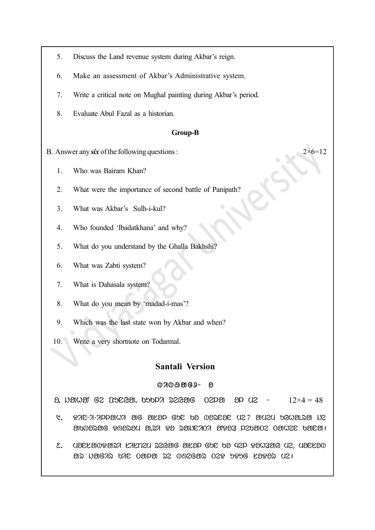- 5. Discuss the Land revenue system during Akbar's reign.
- 6. Make an assessment of Akbar's Administrative system.
- 7. Write a critical note on Mughal painting during Akbar's period.
- 8. Evaluate Abul Fazal as a historian.

#### Group-B

- B. Answer any six of the following questions :  $2 \times 6 = 12$ 
	- 1. Who was Bairam Khan?
	- 2. What were the importance of second battle of Panipath?
	- 3. What was Akbar's Sulh-i-kul?
	- 4. Who founded 'Ibadatkhana' and why?
	- 5. What do you understand by the Ghalla Bakhshi?
	- 6. What was Zabti system?
	- 7. What is Dahasala system?
	- 8. What do you mean by 'madad-i-mas'?
	- 9. Which was the last state won by Akbar and when?
	- 10. Write a very shortnote on Todarmal.

### Santali Version

#### $07009069 - 8$

 $\delta$ . inthe Ge and  $\delta$ , by  $\delta$  and  $\delta$  and  $\delta$  or  $\delta$  and  $\delta$  of  $\delta$  is  $\delta$  and  $\delta$   $\delta$  of  $\delta$  is  $\delta$  of  $\delta$  is  $\delta$  of  $\delta$  is  $\delta$  is  $\delta$  is  $\delta$  is  $\delta$  is  $\delta$  is  $\delta$  is  $\delta$  is  $\delta$  is  $\delta$  is  $\delta$  is

- $1.$   $2.0$  . Din-in-illahi ang antap gpc ba  $0$ asolag  $0.2$ ; and  $0.02$ ha.ra  $0.02$ akborag DHorom a.ri Do rajniTi aNDoz lekaTe Tahen kana|
- $2.$  udelaweasa kakheu segag akap goe oa qep eawaang ue, udekaw as hagys pur oaba sa masgas osa papg kaass  $\alpha$ si